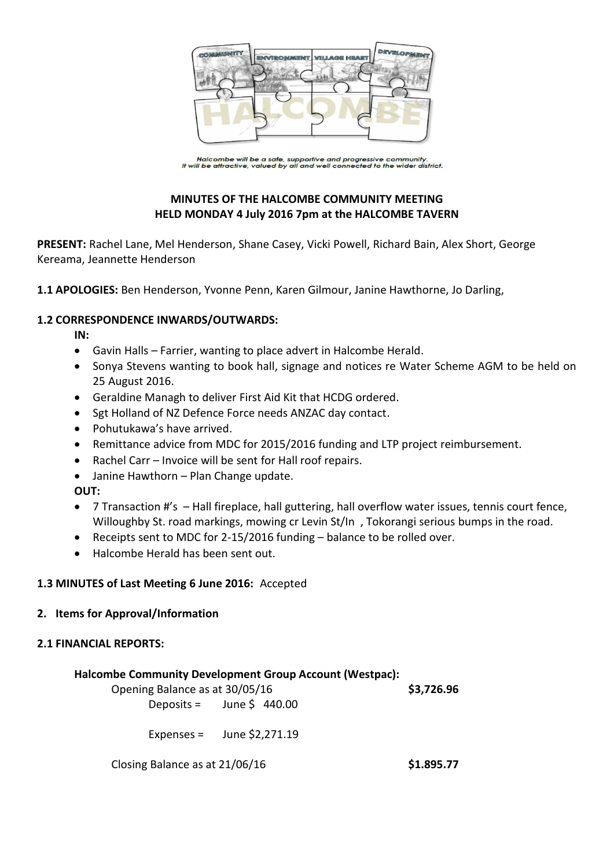

Halcombe will be a safe, supportive and progressive community.<br>It will be attractive, valued by all and well connected to the wider district.

# **MINUTES OF THE HALCOMBE COMMUNITY MEETING HELD MONDAY 4 July 2016 7pm at the HALCOMBE TAVERN**

**PRESENT:** Rachel Lane, Mel Henderson, Shane Casey, Vicki Powell, Richard Bain, Alex Short, George Kereama, Jeannette Henderson

**1.1 APOLOGIES:** Ben Henderson, Yvonne Penn, Karen Gilmour, Janine Hawthorne, Jo Darling,

## **1.2 CORRESPONDENCE INWARDS/OUTWARDS:**

**IN:** 

- Gavin Halls Farrier, wanting to place advert in Halcombe Herald.
- Sonya Stevens wanting to book hall, signage and notices re Water Scheme AGM to be held on 25 August 2016.
- Geraldine Managh to deliver First Aid Kit that HCDG ordered.
- Sgt Holland of NZ Defence Force needs ANZAC day contact.
- Pohutukawa's have arrived.
- Remittance advice from MDC for 2015/2016 funding and LTP project reimbursement.
- Rachel Carr Invoice will be sent for Hall roof repairs.
- Janine Hawthorn Plan Change update.

**OUT:**

- 7 Transaction #'s Hall fireplace, hall guttering, hall overflow water issues, tennis court fence, Willoughby St. road markings, mowing cr Levin St/In, Tokorangi serious bumps in the road.
- Receipts sent to MDC for 2-15/2016 funding balance to be rolled over.
- Halcombe Herald has been sent out.

## **1.3 MINUTES of Last Meeting 6 June 2016:** Accepted

## **2. Items for Approval/Information**

## **2.1 FINANCIAL REPORTS:**

## **Halcombe Community Development Group Account (Westpac):**

Opening Balance as at 30/05/16 **\$3,726.96** Deposits = June  $\sin 440.00$ 

Expenses = June  $$2,271.19$ 

Closing Balance as at 21/06/16 **\$1.895.77**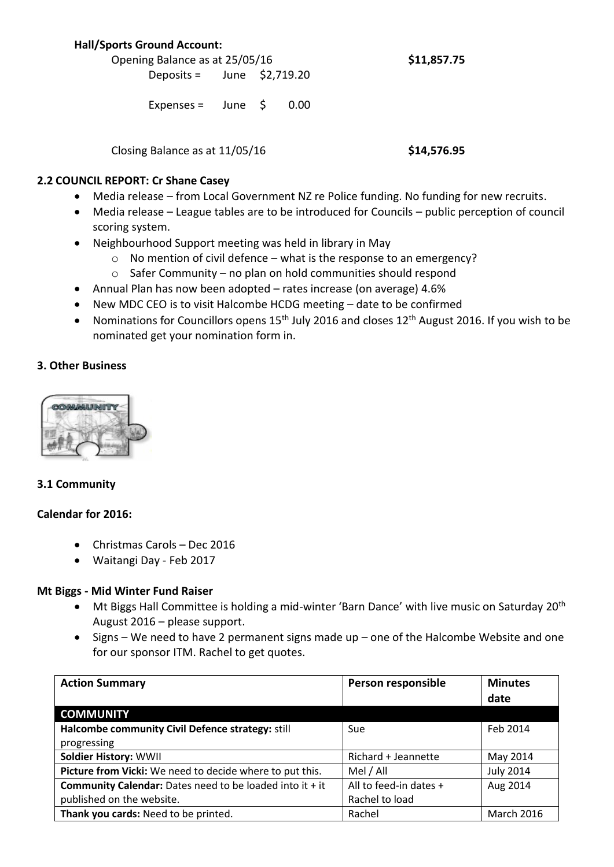## **Hall/Sports Ground Account:**

Opening Balance as at 25/05/16 **\$11,857.75** Deposits = June \$2,719.20

Expenses =  $\mu$  June  $\beta$  0.00

Closing Balance as at 11/05/16 **\$14,576.95**

## **2.2 COUNCIL REPORT: Cr Shane Casey**

- Media release from Local Government NZ re Police funding. No funding for new recruits.
- Media release League tables are to be introduced for Councils public perception of council scoring system.
- Neighbourhood Support meeting was held in library in May
	- $\circ$  No mention of civil defence what is the response to an emergency?
	- o Safer Community no plan on hold communities should respond
- Annual Plan has now been adopted rates increase (on average) 4.6%
- New MDC CEO is to visit Halcombe HCDG meeting date to be confirmed
- Nominations for Councillors opens  $15<sup>th</sup>$  July 2016 and closes  $12<sup>th</sup>$  August 2016. If you wish to be nominated get your nomination form in.

## **3. Other Business**



## **3.1 Community**

## **Calendar for 2016:**

- Christmas Carols Dec 2016
- Waitangi Day Feb 2017

## **Mt Biggs - Mid Winter Fund Raiser**

- $\bullet$  Mt Biggs Hall Committee is holding a mid-winter 'Barn Dance' with live music on Saturday 20<sup>th</sup> August 2016 – please support.
- Signs We need to have 2 permanent signs made up one of the Halcombe Website and one for our sponsor ITM. Rachel to get quotes.

| <b>Action Summary</b>                                           | Person responsible     | <b>Minutes</b>    |
|-----------------------------------------------------------------|------------------------|-------------------|
|                                                                 |                        | date              |
| <b>COMMUNITY</b>                                                |                        |                   |
| Halcombe community Civil Defence strategy: still                | Sue                    | Feb 2014          |
| progressing                                                     |                        |                   |
| <b>Soldier History: WWII</b>                                    | Richard + Jeannette    | May 2014          |
| Picture from Vicki: We need to decide where to put this.        | Mel / All              | <b>July 2014</b>  |
| <b>Community Calendar:</b> Dates need to be loaded into it + it | All to feed-in dates + | Aug 2014          |
| published on the website.                                       | Rachel to load         |                   |
| Thank you cards: Need to be printed.                            | Rachel                 | <b>March 2016</b> |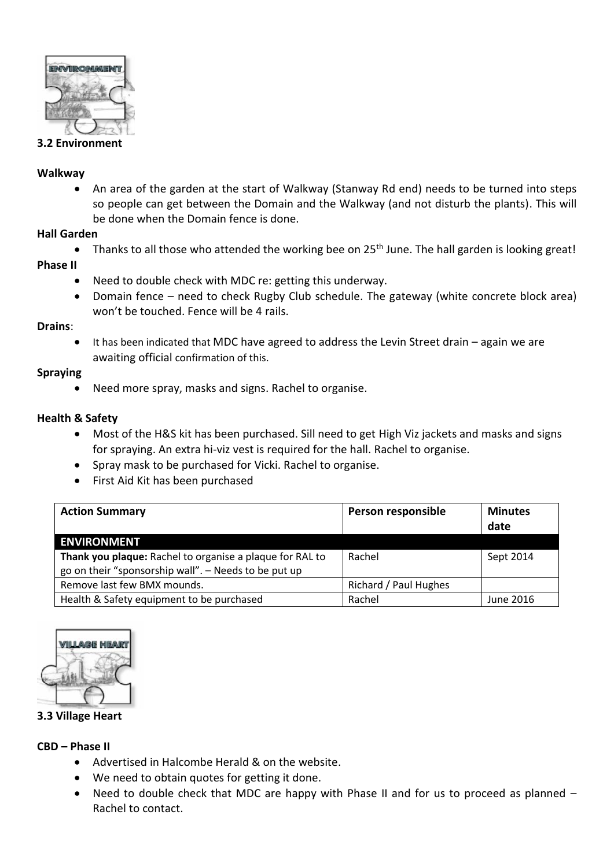

## **3.2 Environment**

#### **Walkway**

 An area of the garden at the start of Walkway (Stanway Rd end) needs to be turned into steps so people can get between the Domain and the Walkway (and not disturb the plants). This will be done when the Domain fence is done.

#### **Hall Garden**

• Thanks to all those who attended the working bee on 25<sup>th</sup> June. The hall garden is looking great!

## **Phase II**

- Need to double check with MDC re: getting this underway.
- Domain fence need to check Rugby Club schedule. The gateway (white concrete block area) won't be touched. Fence will be 4 rails.

#### **Drains**:

 It has been indicated that MDC have agreed to address the Levin Street drain – again we are awaiting official confirmation of this.

## **Spraying**

Need more spray, masks and signs. Rachel to organise.

## **Health & Safety**

- Most of the H&S kit has been purchased. Sill need to get High Viz jackets and masks and signs for spraying. An extra hi-viz vest is required for the hall. Rachel to organise.
- Spray mask to be purchased for Vicki. Rachel to organise.
- First Aid Kit has been purchased

| <b>Action Summary</b>                                    | Person responsible    | <b>Minutes</b><br>date |
|----------------------------------------------------------|-----------------------|------------------------|
| <b>ENVIRONMENT</b>                                       |                       |                        |
| Thank you plaque: Rachel to organise a plaque for RAL to | Rachel                | Sept 2014              |
| go on their "sponsorship wall". - Needs to be put up     |                       |                        |
| Remove last few BMX mounds.                              | Richard / Paul Hughes |                        |
| Health & Safety equipment to be purchased                | Rachel                | June 2016              |



## **3.3 Village Heart**

## **CBD – Phase II**

- Advertised in Halcombe Herald & on the website.
- We need to obtain quotes for getting it done.
- Need to double check that MDC are happy with Phase II and for us to proceed as planned Rachel to contact.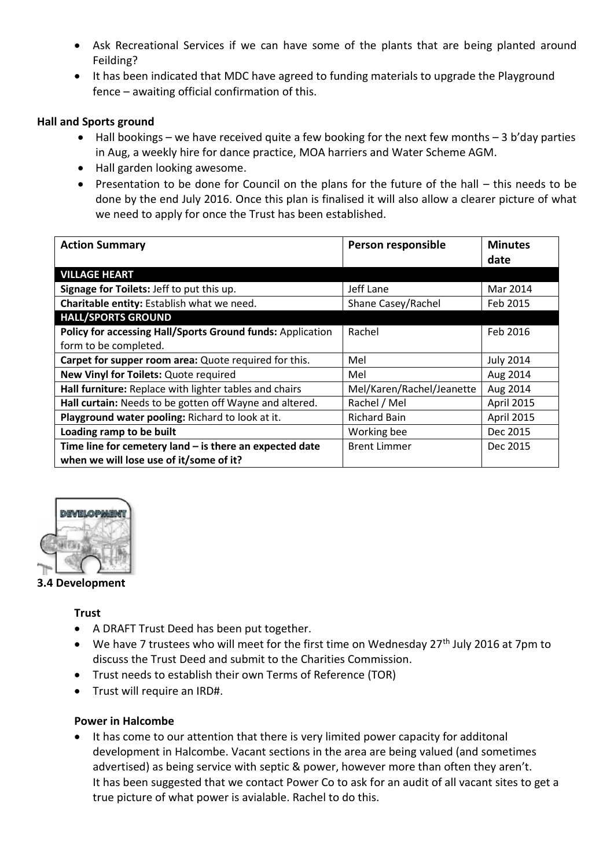- Ask Recreational Services if we can have some of the plants that are being planted around Feilding?
- It has been indicated that MDC have agreed to funding materials to upgrade the Playground fence – awaiting official confirmation of this.

## **Hall and Sports ground**

- Hall bookings we have received quite a few booking for the next few months 3 b'day parties in Aug, a weekly hire for dance practice, MOA harriers and Water Scheme AGM.
- Hall garden looking awesome.
- Presentation to be done for Council on the plans for the future of the hall this needs to be done by the end July 2016. Once this plan is finalised it will also allow a clearer picture of what we need to apply for once the Trust has been established.

| <b>Action Summary</b>                                      | Person responsible        | <b>Minutes</b>   |
|------------------------------------------------------------|---------------------------|------------------|
|                                                            |                           | date             |
| <b>VILLAGE HEART</b>                                       |                           |                  |
| Signage for Toilets: Jeff to put this up.                  | Jeff Lane                 | Mar 2014         |
| Charitable entity: Establish what we need.                 | Shane Casey/Rachel        | Feb 2015         |
| <b>HALL/SPORTS GROUND</b>                                  |                           |                  |
| Policy for accessing Hall/Sports Ground funds: Application | Rachel                    | Feb 2016         |
| form to be completed.                                      |                           |                  |
| Carpet for supper room area: Quote required for this.      | Mel                       | <b>July 2014</b> |
| New Vinyl for Toilets: Quote required                      | Mel                       | Aug 2014         |
| Hall furniture: Replace with lighter tables and chairs     | Mel/Karen/Rachel/Jeanette | Aug 2014         |
| Hall curtain: Needs to be gotten off Wayne and altered.    | Rachel / Mel              | April 2015       |
| Playground water pooling: Richard to look at it.           | <b>Richard Bain</b>       | April 2015       |
| Loading ramp to be built                                   | Working bee               | Dec 2015         |
| Time line for cemetery land $-$ is there an expected date  | <b>Brent Limmer</b>       | Dec 2015         |
| when we will lose use of it/some of it?                    |                           |                  |



## **3.4 Development**

## **Trust**

- A DRAFT Trust Deed has been put together.
- $\bullet$  We have 7 trustees who will meet for the first time on Wednesday 27<sup>th</sup> July 2016 at 7pm to discuss the Trust Deed and submit to the Charities Commission.
- Trust needs to establish their own Terms of Reference (TOR)
- Trust will require an IRD#.

## **Power in Halcombe**

• It has come to our attention that there is very limited power capacity for additonal development in Halcombe. Vacant sections in the area are being valued (and sometimes advertised) as being service with septic & power, however more than often they aren't. It has been suggested that we contact Power Co to ask for an audit of all vacant sites to get a true picture of what power is avialable. Rachel to do this.